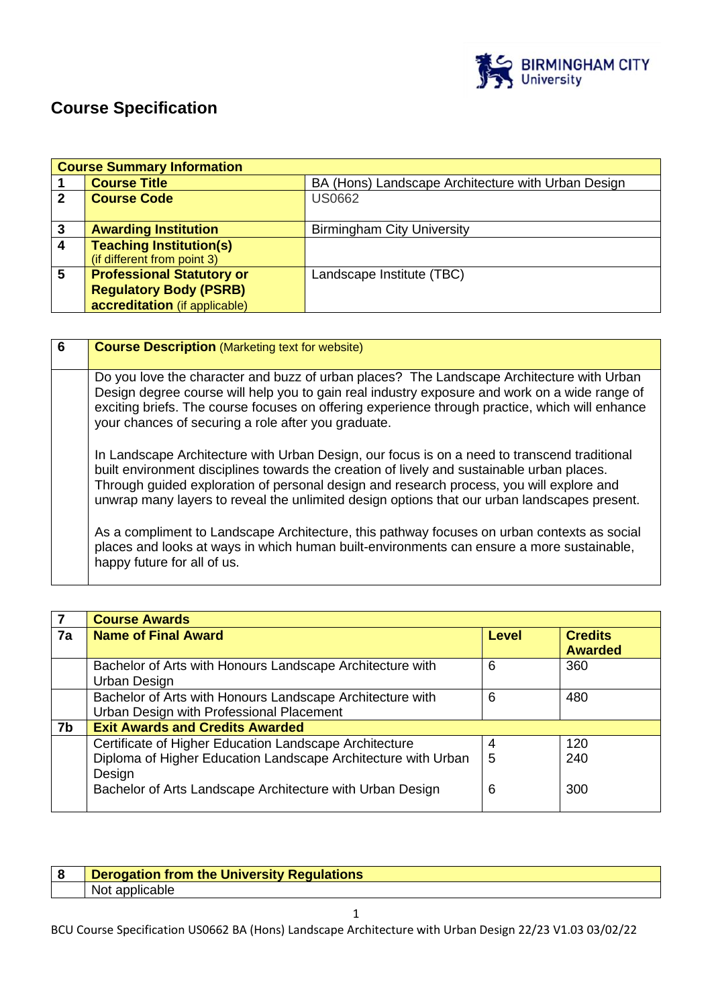

# **Course Specification**

|                | <b>Course Summary Information</b> |                                                    |  |  |
|----------------|-----------------------------------|----------------------------------------------------|--|--|
|                | <b>Course Title</b>               | BA (Hons) Landscape Architecture with Urban Design |  |  |
| $\overline{2}$ | <b>Course Code</b>                | <b>US0662</b>                                      |  |  |
|                |                                   |                                                    |  |  |
| $\mathbf{3}$   | <b>Awarding Institution</b>       | <b>Birmingham City University</b>                  |  |  |
| $\overline{4}$ | <b>Teaching Institution(s)</b>    |                                                    |  |  |
|                | (if different from point 3)       |                                                    |  |  |
| $5\phantom{1}$ | <b>Professional Statutory or</b>  | Landscape Institute (TBC)                          |  |  |
|                | <b>Regulatory Body (PSRB)</b>     |                                                    |  |  |
|                | accreditation (if applicable)     |                                                    |  |  |

| 6 | <b>Course Description (Marketing text for website)</b>                                                                                                                                                                                                                                                                                                                                 |
|---|----------------------------------------------------------------------------------------------------------------------------------------------------------------------------------------------------------------------------------------------------------------------------------------------------------------------------------------------------------------------------------------|
|   | Do you love the character and buzz of urban places? The Landscape Architecture with Urban<br>Design degree course will help you to gain real industry exposure and work on a wide range of<br>exciting briefs. The course focuses on offering experience through practice, which will enhance<br>your chances of securing a role after you graduate.                                   |
|   | In Landscape Architecture with Urban Design, our focus is on a need to transcend traditional<br>built environment disciplines towards the creation of lively and sustainable urban places.<br>Through guided exploration of personal design and research process, you will explore and<br>unwrap many layers to reveal the unlimited design options that our urban landscapes present. |
|   | As a compliment to Landscape Architecture, this pathway focuses on urban contexts as social<br>places and looks at ways in which human built-environments can ensure a more sustainable,<br>happy future for all of us.                                                                                                                                                                |

|    | <b>Course Awards</b>                                                                                                                                                                           |             |                                  |
|----|------------------------------------------------------------------------------------------------------------------------------------------------------------------------------------------------|-------------|----------------------------------|
| 7a | <b>Name of Final Award</b>                                                                                                                                                                     | Level       | <b>Credits</b><br><b>Awarded</b> |
|    | Bachelor of Arts with Honours Landscape Architecture with<br>Urban Design                                                                                                                      | 6           | 360                              |
|    | Bachelor of Arts with Honours Landscape Architecture with<br>Urban Design with Professional Placement                                                                                          | 6           | 480                              |
| 7b | <b>Exit Awards and Credits Awarded</b>                                                                                                                                                         |             |                                  |
|    | Certificate of Higher Education Landscape Architecture<br>Diploma of Higher Education Landscape Architecture with Urban<br>Design<br>Bachelor of Arts Landscape Architecture with Urban Design | 4<br>5<br>6 | 120<br>240<br>300                |

| ୁ | <b>Derogation from the University Regulations</b> |
|---|---------------------------------------------------|
|   | Not applicable                                    |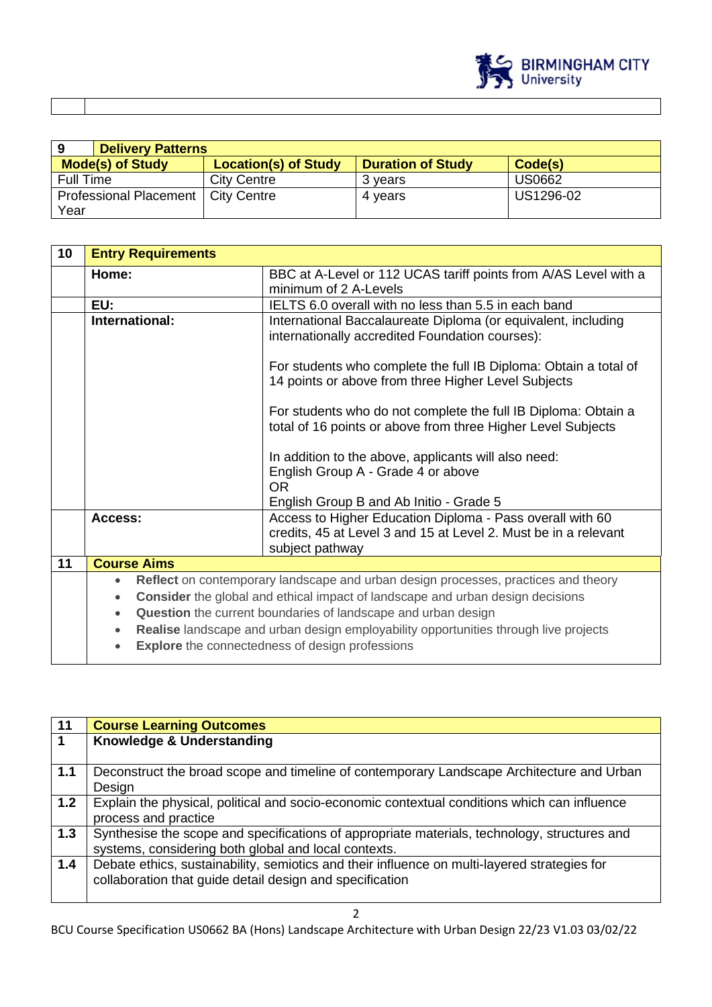

|                               | <b>Delivery Patterns</b>    |                          |           |  |
|-------------------------------|-----------------------------|--------------------------|-----------|--|
| <b>Mode(s) of Study</b>       | <b>Location(s) of Study</b> | <b>Duration of Study</b> | Code(s)   |  |
| <b>Full Time</b>              | <b>City Centre</b>          | 3 vears                  | US0662    |  |
| <b>Professional Placement</b> | <b>City Centre</b>          | 4 vears                  | US1296-02 |  |
| Year                          |                             |                          |           |  |

| 10             | <b>Entry Requirements</b>                                                                                                                                                                                                                                                                                                                                                                                                                                       |                                                                                                                                                    |  |
|----------------|-----------------------------------------------------------------------------------------------------------------------------------------------------------------------------------------------------------------------------------------------------------------------------------------------------------------------------------------------------------------------------------------------------------------------------------------------------------------|----------------------------------------------------------------------------------------------------------------------------------------------------|--|
|                | Home:                                                                                                                                                                                                                                                                                                                                                                                                                                                           | BBC at A-Level or 112 UCAS tariff points from A/AS Level with a<br>minimum of 2 A-Levels                                                           |  |
|                | EU:                                                                                                                                                                                                                                                                                                                                                                                                                                                             | IELTS 6.0 overall with no less than 5.5 in each band                                                                                               |  |
| International: |                                                                                                                                                                                                                                                                                                                                                                                                                                                                 | International Baccalaureate Diploma (or equivalent, including<br>internationally accredited Foundation courses):                                   |  |
|                |                                                                                                                                                                                                                                                                                                                                                                                                                                                                 | For students who complete the full IB Diploma: Obtain a total of<br>14 points or above from three Higher Level Subjects                            |  |
|                |                                                                                                                                                                                                                                                                                                                                                                                                                                                                 | For students who do not complete the full IB Diploma: Obtain a<br>total of 16 points or above from three Higher Level Subjects                     |  |
|                |                                                                                                                                                                                                                                                                                                                                                                                                                                                                 | In addition to the above, applicants will also need:<br>English Group A - Grade 4 or above<br><b>OR</b><br>English Group B and Ab Initio - Grade 5 |  |
|                | Access:                                                                                                                                                                                                                                                                                                                                                                                                                                                         | Access to Higher Education Diploma - Pass overall with 60<br>credits, 45 at Level 3 and 15 at Level 2. Must be in a relevant<br>subject pathway    |  |
| 11             | <b>Course Aims</b>                                                                                                                                                                                                                                                                                                                                                                                                                                              |                                                                                                                                                    |  |
|                | Reflect on contemporary landscape and urban design processes, practices and theory<br>$\bullet$<br><b>Consider</b> the global and ethical impact of landscape and urban design decisions<br>$\bullet$<br>Question the current boundaries of landscape and urban design<br>$\bullet$<br>Realise landscape and urban design employability opportunities through live projects<br>$\bullet$<br><b>Explore</b> the connectedness of design professions<br>$\bullet$ |                                                                                                                                                    |  |

| 11  | <b>Course Learning Outcomes</b>                                                                                                                          |
|-----|----------------------------------------------------------------------------------------------------------------------------------------------------------|
| 1   | Knowledge & Understanding                                                                                                                                |
| 1.1 | Deconstruct the broad scope and timeline of contemporary Landscape Architecture and Urban<br>Design                                                      |
| 1.2 | Explain the physical, political and socio-economic contextual conditions which can influence<br>process and practice                                     |
| 1.3 | Synthesise the scope and specifications of appropriate materials, technology, structures and<br>systems, considering both global and local contexts.     |
| 1.4 | Debate ethics, sustainability, semiotics and their influence on multi-layered strategies for<br>collaboration that guide detail design and specification |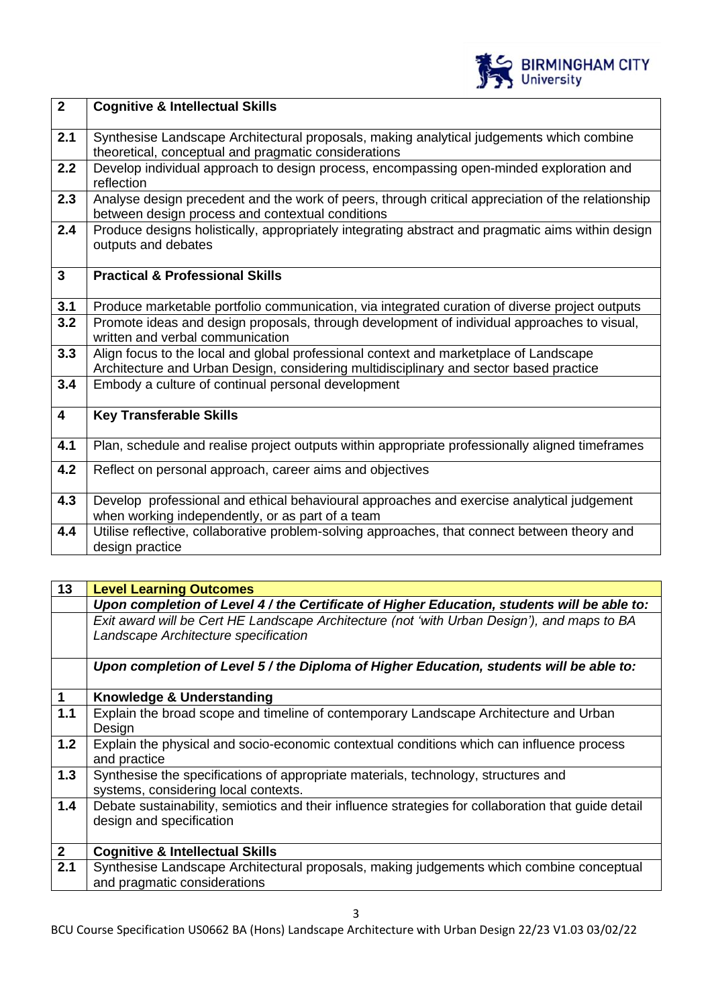

| $\overline{2}$          | <b>Cognitive &amp; Intellectual Skills</b>                                                                                                                                      |
|-------------------------|---------------------------------------------------------------------------------------------------------------------------------------------------------------------------------|
| 2.1                     | Synthesise Landscape Architectural proposals, making analytical judgements which combine<br>theoretical, conceptual and pragmatic considerations                                |
| 2.2                     | Develop individual approach to design process, encompassing open-minded exploration and<br>reflection                                                                           |
| 2.3                     | Analyse design precedent and the work of peers, through critical appreciation of the relationship<br>between design process and contextual conditions                           |
| 2.4                     | Produce designs holistically, appropriately integrating abstract and pragmatic aims within design<br>outputs and debates                                                        |
| $\overline{3}$          | <b>Practical &amp; Professional Skills</b>                                                                                                                                      |
| 3.1                     | Produce marketable portfolio communication, via integrated curation of diverse project outputs                                                                                  |
| 3.2                     | Promote ideas and design proposals, through development of individual approaches to visual,<br>written and verbal communication                                                 |
| 3.3                     | Align focus to the local and global professional context and marketplace of Landscape<br>Architecture and Urban Design, considering multidisciplinary and sector based practice |
| 3.4                     | Embody a culture of continual personal development                                                                                                                              |
| $\overline{\mathbf{4}}$ | <b>Key Transferable Skills</b>                                                                                                                                                  |
| 4.1                     | Plan, schedule and realise project outputs within appropriate professionally aligned timeframes                                                                                 |
| 4.2                     | Reflect on personal approach, career aims and objectives                                                                                                                        |
| 4.3                     | Develop professional and ethical behavioural approaches and exercise analytical judgement<br>when working independently, or as part of a team                                   |
| 4.4                     | Utilise reflective, collaborative problem-solving approaches, that connect between theory and<br>design practice                                                                |

| Upon completion of Level 4 / the Certificate of Higher Education, students will be able to:<br>Exit award will be Cert HE Landscape Architecture (not 'with Urban Design'), and maps to BA |
|--------------------------------------------------------------------------------------------------------------------------------------------------------------------------------------------|
|                                                                                                                                                                                            |
|                                                                                                                                                                                            |
|                                                                                                                                                                                            |
|                                                                                                                                                                                            |
| Upon completion of Level 5 / the Diploma of Higher Education, students will be able to:                                                                                                    |
|                                                                                                                                                                                            |
|                                                                                                                                                                                            |
|                                                                                                                                                                                            |
|                                                                                                                                                                                            |
| Explain the physical and socio-economic contextual conditions which can influence process                                                                                                  |
|                                                                                                                                                                                            |
|                                                                                                                                                                                            |
|                                                                                                                                                                                            |
| Debate sustainability, semiotics and their influence strategies for collaboration that guide detail                                                                                        |
|                                                                                                                                                                                            |
|                                                                                                                                                                                            |
|                                                                                                                                                                                            |
| Synthesise Landscape Architectural proposals, making judgements which combine conceptual                                                                                                   |
|                                                                                                                                                                                            |
| Explain the broad scope and timeline of contemporary Landscape Architecture and Urban                                                                                                      |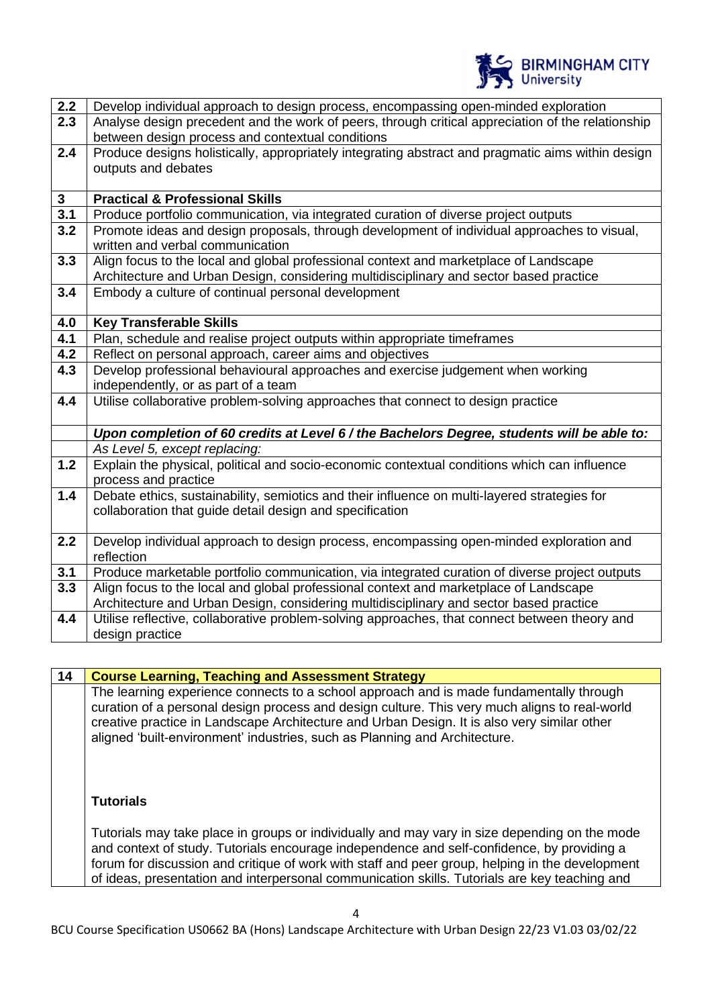

| $2.2$            | Develop individual approach to design process, encompassing open-minded exploration               |
|------------------|---------------------------------------------------------------------------------------------------|
| 2.3              | Analyse design precedent and the work of peers, through critical appreciation of the relationship |
|                  | between design process and contextual conditions                                                  |
| 2.4              | Produce designs holistically, appropriately integrating abstract and pragmatic aims within design |
|                  | outputs and debates                                                                               |
|                  |                                                                                                   |
| $\mathbf{3}$     | <b>Practical &amp; Professional Skills</b>                                                        |
| $\overline{3.1}$ | Produce portfolio communication, via integrated curation of diverse project outputs               |
| 3.2              | Promote ideas and design proposals, through development of individual approaches to visual,       |
|                  | written and verbal communication                                                                  |
| 3.3              | Align focus to the local and global professional context and marketplace of Landscape             |
|                  | Architecture and Urban Design, considering multidisciplinary and sector based practice            |
| 3.4              | Embody a culture of continual personal development                                                |
|                  |                                                                                                   |
| 4.0              | <b>Key Transferable Skills</b>                                                                    |
| 4.1              | Plan, schedule and realise project outputs within appropriate timeframes                          |
| 4.2              | Reflect on personal approach, career aims and objectives                                          |
| 4.3              | Develop professional behavioural approaches and exercise judgement when working                   |
|                  | independently, or as part of a team                                                               |
| 4.4              | Utilise collaborative problem-solving approaches that connect to design practice                  |
|                  |                                                                                                   |
|                  | Upon completion of 60 credits at Level 6 / the Bachelors Degree, students will be able to:        |
|                  | As Level 5, except replacing:                                                                     |
| $1.2$            | Explain the physical, political and socio-economic contextual conditions which can influence      |
|                  | process and practice                                                                              |
| 1.4              | Debate ethics, sustainability, semiotics and their influence on multi-layered strategies for      |
|                  | collaboration that guide detail design and specification                                          |
|                  |                                                                                                   |
| 2.2              | Develop individual approach to design process, encompassing open-minded exploration and           |
|                  | reflection                                                                                        |
| 3.1              | Produce marketable portfolio communication, via integrated curation of diverse project outputs    |
| 3.3              | Align focus to the local and global professional context and marketplace of Landscape             |
|                  | Architecture and Urban Design, considering multidisciplinary and sector based practice            |
| 4.4              | Utilise reflective, collaborative problem-solving approaches, that connect between theory and     |
|                  | design practice                                                                                   |

**14 Course Learning, Teaching and Assessment Strategy** The learning experience connects to a school approach and is made fundamentally through curation of a personal design process and design culture. This very much aligns to real-world creative practice in Landscape Architecture and Urban Design. It is also very similar other aligned 'built-environment' industries, such as Planning and Architecture.

# **Tutorials**

Tutorials may take place in groups or individually and may vary in size depending on the mode and context of study. Tutorials encourage independence and self-confidence, by providing a forum for discussion and critique of work with staff and peer group, helping in the development of ideas, presentation and interpersonal communication skills. Tutorials are key teaching and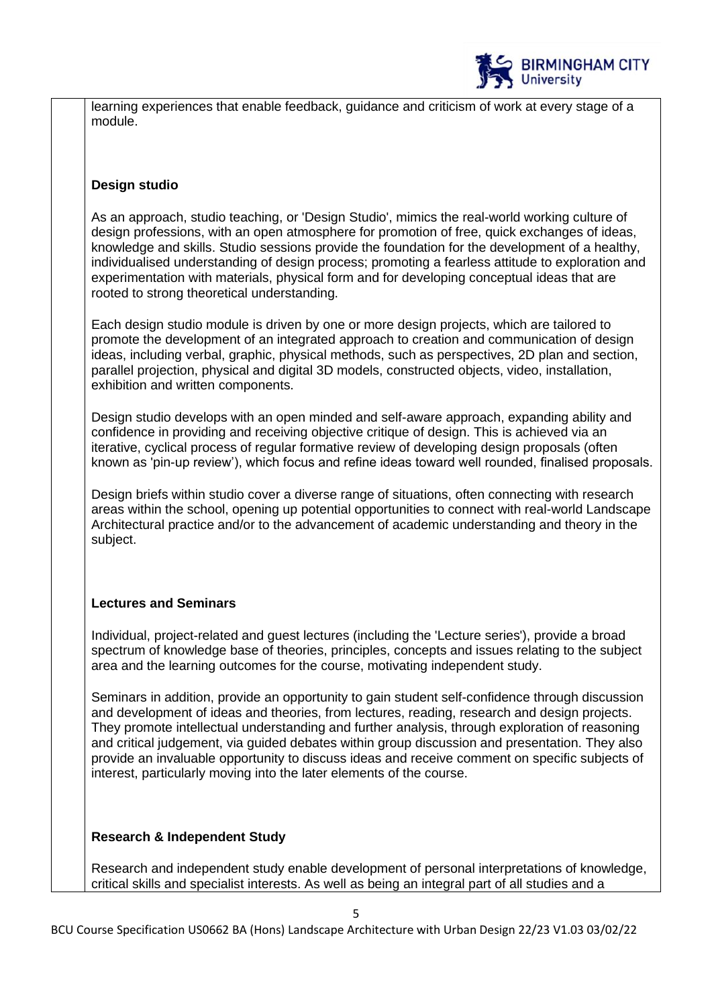

learning experiences that enable feedback, guidance and criticism of work at every stage of a module.

### **Design studio**

As an approach, studio teaching, or 'Design Studio', mimics the real-world working culture of design professions, with an open atmosphere for promotion of free, quick exchanges of ideas, knowledge and skills. Studio sessions provide the foundation for the development of a healthy, individualised understanding of design process; promoting a fearless attitude to exploration and experimentation with materials, physical form and for developing conceptual ideas that are rooted to strong theoretical understanding.

Each design studio module is driven by one or more design projects, which are tailored to promote the development of an integrated approach to creation and communication of design ideas, including verbal, graphic, physical methods, such as perspectives, 2D plan and section, parallel projection, physical and digital 3D models, constructed objects, video, installation, exhibition and written components.

Design studio develops with an open minded and self-aware approach, expanding ability and confidence in providing and receiving objective critique of design. This is achieved via an iterative, cyclical process of regular formative review of developing design proposals (often known as 'pin-up review'), which focus and refine ideas toward well rounded, finalised proposals.

Design briefs within studio cover a diverse range of situations, often connecting with research areas within the school, opening up potential opportunities to connect with real-world Landscape Architectural practice and/or to the advancement of academic understanding and theory in the subject.

# **Lectures and Seminars**

Individual, project-related and guest lectures (including the 'Lecture series'), provide a broad spectrum of knowledge base of theories, principles, concepts and issues relating to the subject area and the learning outcomes for the course, motivating independent study.

Seminars in addition, provide an opportunity to gain student self-confidence through discussion and development of ideas and theories, from lectures, reading, research and design projects. They promote intellectual understanding and further analysis, through exploration of reasoning and critical judgement, via guided debates within group discussion and presentation. They also provide an invaluable opportunity to discuss ideas and receive comment on specific subjects of interest, particularly moving into the later elements of the course.

# **Research & Independent Study**

Research and independent study enable development of personal interpretations of knowledge, critical skills and specialist interests. As well as being an integral part of all studies and a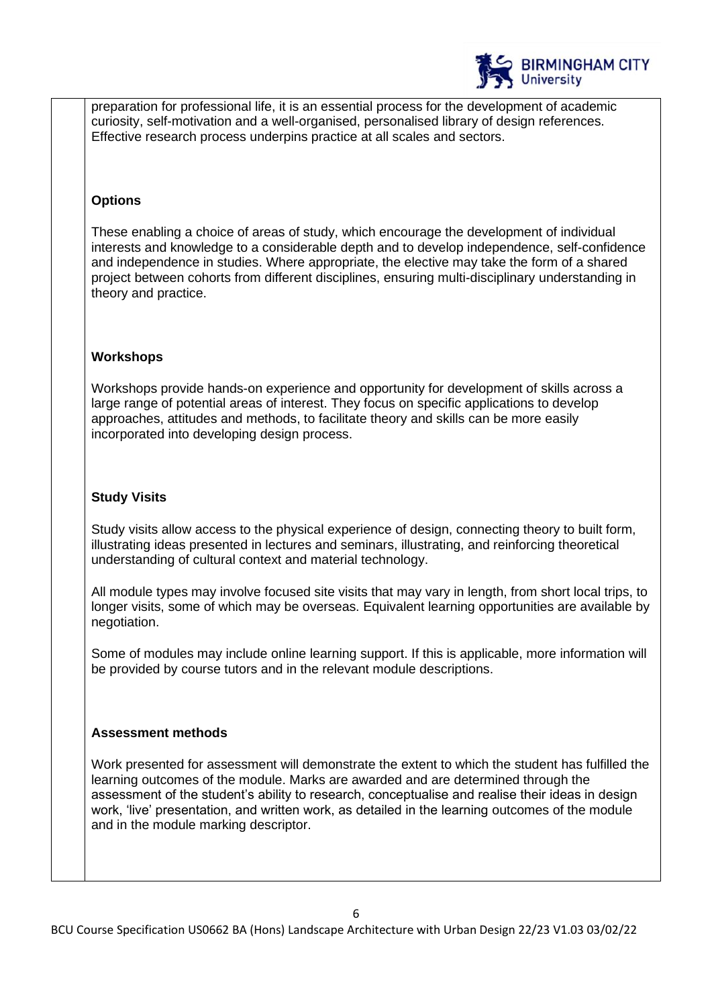

preparation for professional life, it is an essential process for the development of academic curiosity, self-motivation and a well-organised, personalised library of design references. Effective research process underpins practice at all scales and sectors.

### **Options**

These enabling a choice of areas of study, which encourage the development of individual interests and knowledge to a considerable depth and to develop independence, self-confidence and independence in studies. Where appropriate, the elective may take the form of a shared project between cohorts from different disciplines, ensuring multi-disciplinary understanding in theory and practice.

### **Workshops**

Workshops provide hands-on experience and opportunity for development of skills across a large range of potential areas of interest. They focus on specific applications to develop approaches, attitudes and methods, to facilitate theory and skills can be more easily incorporated into developing design process.

### **Study Visits**

Study visits allow access to the physical experience of design, connecting theory to built form, illustrating ideas presented in lectures and seminars, illustrating, and reinforcing theoretical understanding of cultural context and material technology.

All module types may involve focused site visits that may vary in length, from short local trips, to longer visits, some of which may be overseas. Equivalent learning opportunities are available by negotiation.

Some of modules may include online learning support. If this is applicable, more information will be provided by course tutors and in the relevant module descriptions.

#### **Assessment methods**

Work presented for assessment will demonstrate the extent to which the student has fulfilled the learning outcomes of the module. Marks are awarded and are determined through the assessment of the student's ability to research, conceptualise and realise their ideas in design work, 'live' presentation, and written work, as detailed in the learning outcomes of the module and in the module marking descriptor.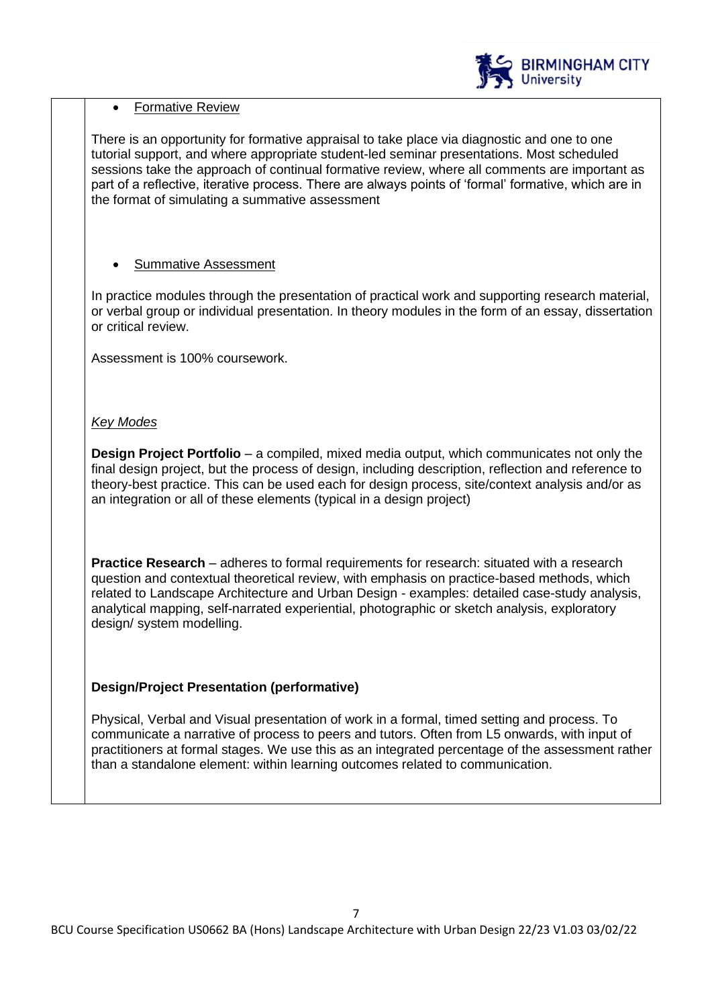

# • Formative Review

There is an opportunity for formative appraisal to take place via diagnostic and one to one tutorial support, and where appropriate student-led seminar presentations. Most scheduled sessions take the approach of continual formative review, where all comments are important as part of a reflective, iterative process. There are always points of 'formal' formative, which are in the format of simulating a summative assessment

# • Summative Assessment

In practice modules through the presentation of practical work and supporting research material, or verbal group or individual presentation. In theory modules in the form of an essay, dissertation or critical review.

Assessment is 100% coursework.

# *Key Modes*

**Design Project Portfolio** – a compiled, mixed media output, which communicates not only the final design project, but the process of design, including description, reflection and reference to theory-best practice. This can be used each for design process, site/context analysis and/or as an integration or all of these elements (typical in a design project)

**Practice Research** – adheres to formal requirements for research: situated with a research question and contextual theoretical review, with emphasis on practice-based methods, which related to Landscape Architecture and Urban Design - examples: detailed case-study analysis, analytical mapping, self-narrated experiential, photographic or sketch analysis, exploratory design/ system modelling.

# **Design/Project Presentation (performative)**

Physical, Verbal and Visual presentation of work in a formal, timed setting and process. To communicate a narrative of process to peers and tutors. Often from L5 onwards, with input of practitioners at formal stages. We use this as an integrated percentage of the assessment rather than a standalone element: within learning outcomes related to communication.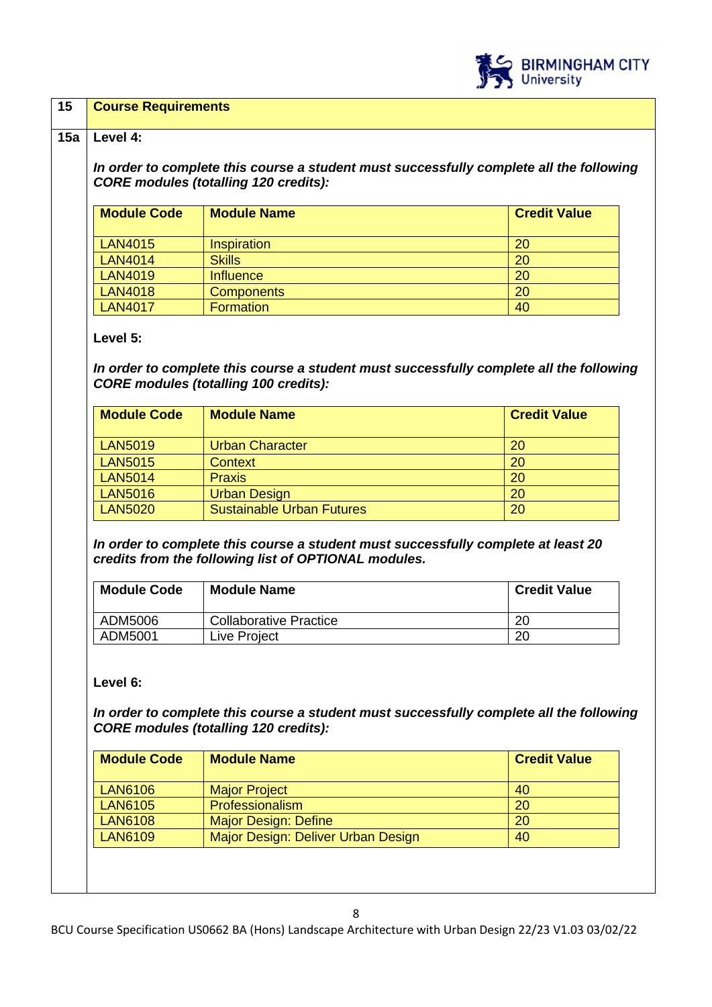

### **15 Course Requirements**

#### **15a Level 4:**

*In order to complete this course a student must successfully complete all the following CORE modules (totalling 120 credits):*

| <b>Module Code</b> | <b>Module Name</b> | <b>Credit Value</b> |
|--------------------|--------------------|---------------------|
| <b>LAN4015</b>     | Inspiration        | 20                  |
| <b>LAN4014</b>     | <b>Skills</b>      | 20                  |
| <b>LAN4019</b>     | <b>Influence</b>   | 20                  |
| <b>LAN4018</b>     | <b>Components</b>  | 20                  |
| <b>LAN4017</b>     | <b>Formation</b>   | 40                  |

#### **Level 5:**

*In order to complete this course a student must successfully complete all the following CORE modules (totalling 100 credits):*

| <b>Module Code</b> | <b>Module Name</b>               | <b>Credit Value</b> |
|--------------------|----------------------------------|---------------------|
| <b>LAN5019</b>     | <b>Urban Character</b>           | 20                  |
| <b>LAN5015</b>     | <b>Context</b>                   | 20                  |
| <b>LAN5014</b>     | <b>Praxis</b>                    | 20                  |
| <b>LAN5016</b>     | <b>Urban Design</b>              | 20                  |
| <b>LAN5020</b>     | <b>Sustainable Urban Futures</b> | 20                  |

*In order to complete this course a student must successfully complete at least 20 credits from the following list of OPTIONAL modules.* 

| <b>Module Code</b> | <b>Module Name</b>     | <b>Credit Value</b> |
|--------------------|------------------------|---------------------|
| ADM5006            | Collaborative Practice | 20                  |
| ADM5001            | Live Project           | 20                  |

#### **Level 6:**

*In order to complete this course a student must successfully complete all the following CORE modules (totalling 120 credits):*

| <b>Module Code</b> | <b>Module Name</b>                 | <b>Credit Value</b> |
|--------------------|------------------------------------|---------------------|
| <b>LAN6106</b>     | <b>Major Project</b>               | 40                  |
| <b>LAN6105</b>     | <b>Professionalism</b>             | 20                  |
| <b>LAN6108</b>     | <b>Major Design: Define</b>        | 20                  |
| <b>LAN6109</b>     | Major Design: Deliver Urban Design | 40                  |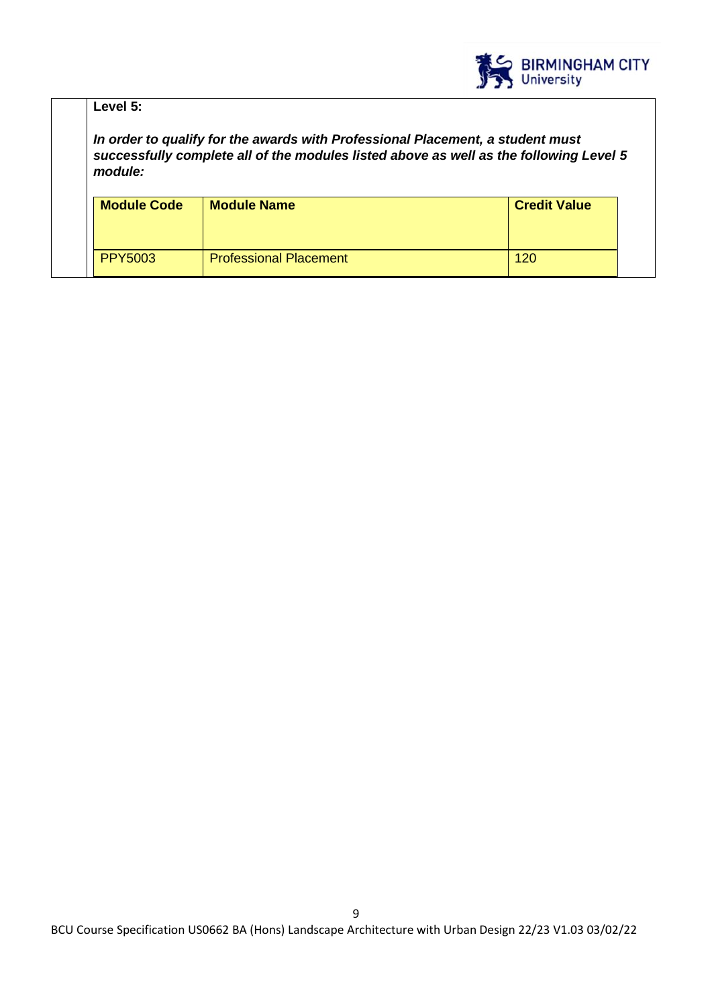

| Level $5:$         |                                                                                                                                                                          |                     |
|--------------------|--------------------------------------------------------------------------------------------------------------------------------------------------------------------------|---------------------|
| module:            | In order to qualify for the awards with Professional Placement, a student must<br>successfully complete all of the modules listed above as well as the following Level 5 |                     |
|                    |                                                                                                                                                                          |                     |
| <b>Module Code</b> | <b>Module Name</b>                                                                                                                                                       | <b>Credit Value</b> |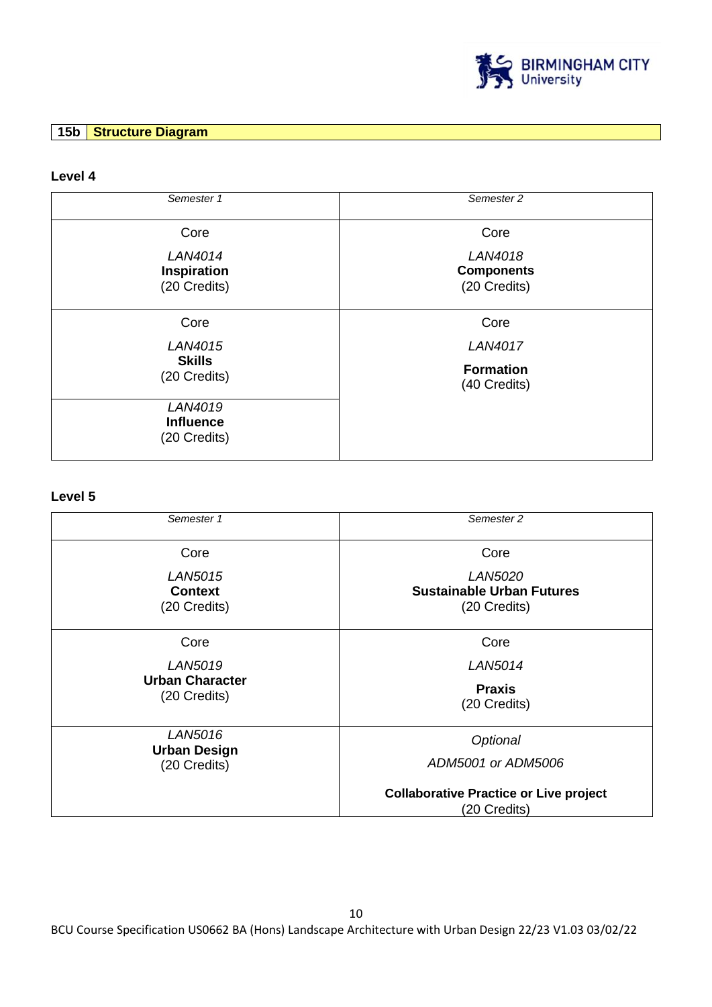

# **15b Structure Diagram**

### **Level 4**

| Semester 1                                  | Semester 2                                   |
|---------------------------------------------|----------------------------------------------|
| Core                                        | Core                                         |
| LAN4014<br>Inspiration<br>(20 Credits)      | LAN4018<br><b>Components</b><br>(20 Credits) |
| Core                                        | Core                                         |
| LAN4015                                     | LAN4017                                      |
| <b>Skills</b><br>(20 Credits)               | <b>Formation</b><br>(40 Credits)             |
| LAN4019<br><b>Influence</b><br>(20 Credits) |                                              |

# **Level 5**

| Semester 1                                       | Semester 2                                                         |
|--------------------------------------------------|--------------------------------------------------------------------|
| Core                                             | Core                                                               |
| <b>LAN5015</b><br><b>Context</b><br>(20 Credits) | <i>LAN5020</i><br><b>Sustainable Urban Futures</b><br>(20 Credits) |
| Core                                             | Core                                                               |
| LAN5019                                          | LAN5014                                                            |
| <b>Urban Character</b><br>(20 Credits)           | <b>Praxis</b><br>(20 Credits)                                      |
| LAN5016<br><b>Urban Design</b>                   | Optional                                                           |
| (20 Credits)                                     | ADM5001 or ADM5006                                                 |
|                                                  | <b>Collaborative Practice or Live project</b><br>(20 Credits)      |

BCU Course Specification US0662 BA (Hons) Landscape Architecture with Urban Design 22/23 V1.03 03/02/22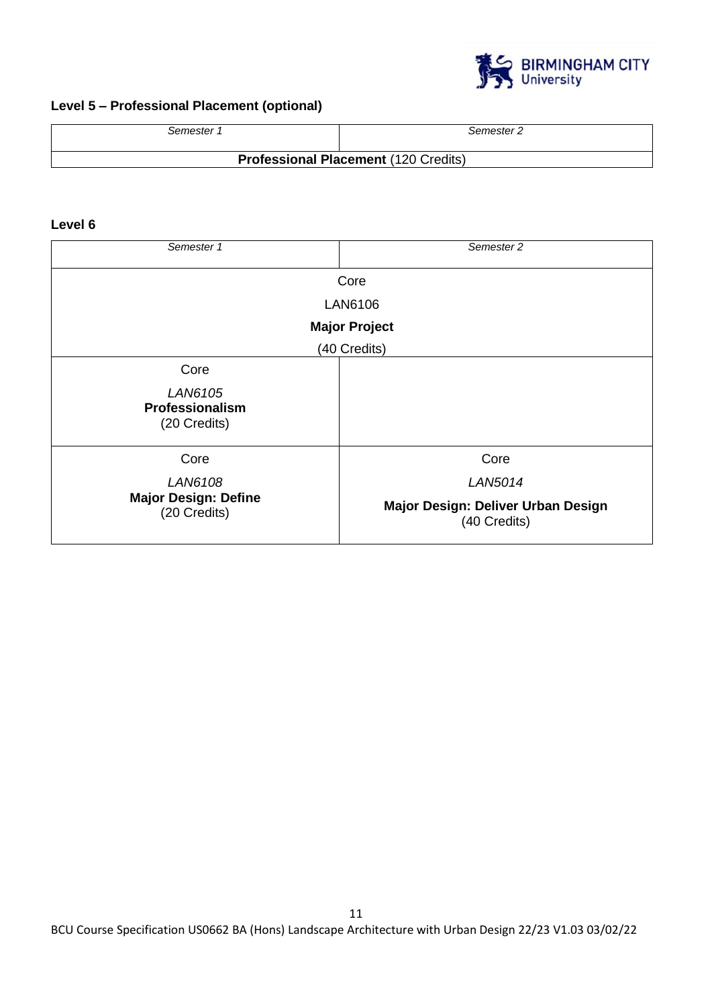

# **Level 5 – Professional Placement (optional)**

| Semester 1                                  | Semester 2 |  |
|---------------------------------------------|------------|--|
| <b>Professional Placement (120 Credits)</b> |            |  |

# **Level 6**

| Semester 1                                  | Semester 2                                         |  |
|---------------------------------------------|----------------------------------------------------|--|
| Core                                        |                                                    |  |
| LAN6106                                     |                                                    |  |
| <b>Major Project</b>                        |                                                    |  |
| (40 Credits)                                |                                                    |  |
| Core                                        |                                                    |  |
| LAN6105<br>Professionalism<br>(20 Credits)  |                                                    |  |
| Core                                        | Core                                               |  |
| LAN6108                                     | <b>LAN5014</b>                                     |  |
| <b>Major Design: Define</b><br>(20 Credits) | Major Design: Deliver Urban Design<br>(40 Credits) |  |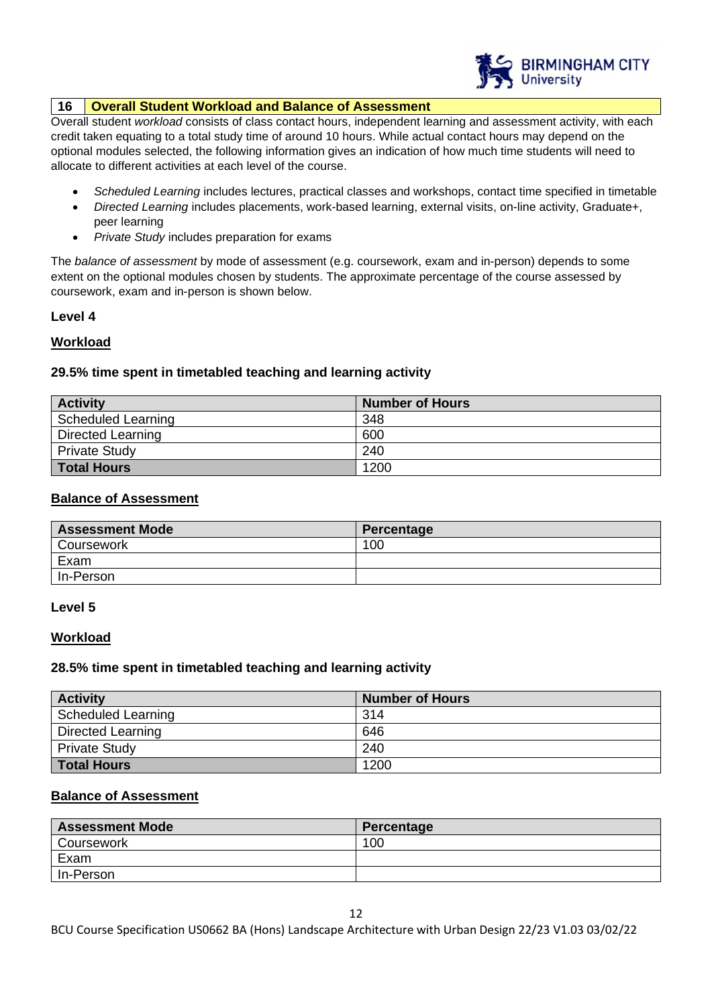

### **16 Overall Student Workload and Balance of Assessment**

Overall student *workload* consists of class contact hours, independent learning and assessment activity, with each credit taken equating to a total study time of around 10 hours. While actual contact hours may depend on the optional modules selected, the following information gives an indication of how much time students will need to allocate to different activities at each level of the course.

- *Scheduled Learning* includes lectures, practical classes and workshops, contact time specified in timetable
- *Directed Learning* includes placements, work-based learning, external visits, on-line activity, Graduate+, peer learning
- *Private Study* includes preparation for exams

The *balance of assessment* by mode of assessment (e.g. coursework, exam and in-person) depends to some extent on the optional modules chosen by students. The approximate percentage of the course assessed by coursework, exam and in-person is shown below.

### **Level 4**

# **Workload**

# **29.5% time spent in timetabled teaching and learning activity**

| <b>Activity</b>          | <b>Number of Hours</b> |
|--------------------------|------------------------|
| Scheduled Learning       | 348                    |
| <b>Directed Learning</b> | 600                    |
| <b>Private Study</b>     | 240                    |
| <b>Total Hours</b>       | 1200                   |

### **Balance of Assessment**

| <b>Assessment Mode</b> | Percentage |
|------------------------|------------|
| <b>Coursework</b>      | 100        |
| Exam                   |            |
| In-Person              |            |

#### **Level 5**

#### **Workload**

#### **28.5% time spent in timetabled teaching and learning activity**

| <b>Activity</b>          | <b>Number of Hours</b> |
|--------------------------|------------------------|
| Scheduled Learning       | 314                    |
| <b>Directed Learning</b> | 646                    |
| <b>Private Study</b>     | 240                    |
| <b>Total Hours</b>       | 1200                   |

### **Balance of Assessment**

| <b>Assessment Mode</b> | Percentage |
|------------------------|------------|
| Coursework             | 100        |
| Exam                   |            |
| In-Person              |            |